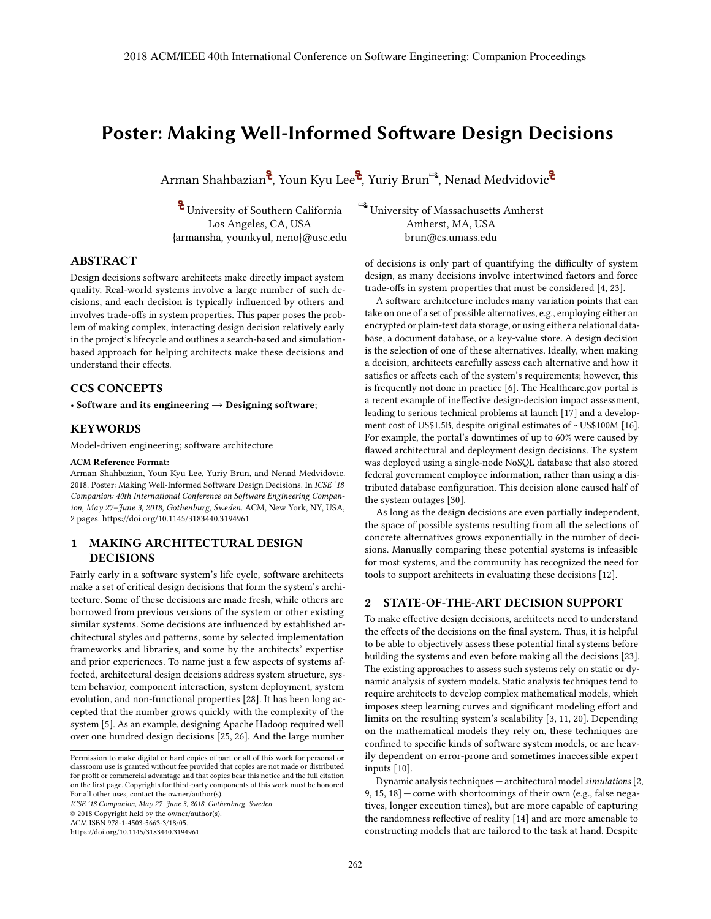# **Poster: Making Well-Informed Software Design Decisions**

Arman Shahbazian<sup>8</sup>, Youn Kyu Lee<sup>8</sup>, Yuriy Brun<sup>-3</sup>, Nenad Medvidovic<sup>8</sup>

 $\bullet$  University of Southern California  $\quad \bullet$  University of Massachusetts Amherst Los Angeles, CA, USA Amherst, MA, USA {armansha, younkyul, neno}@usc.edu brun@cs.umass.edu

### **ABSTRACT**

Design decisions software architects make directly impact system quality. Real-world systems involve a large number of such decisions, and each decision is typically influenced by others and involves trade-offs in system properties. This paper poses the problem of making complex, interacting design decision relatively early in the project's lifecycle and outlines a search-based and simulationbased approach for helping architects make these decisions and understand their effects.

### **CCS CONCEPTS**

• **Software and its engineering** → **Designing software**;

### **KEYWORDS**

Model-driven engineering; software architecture

#### **ACM Reference Format:**

Arman Shahbazian, Youn Kyu Lee, Yuriy Brun, and Nenad Medvidovic. 2018. Poster: Making Well-Informed Software Design Decisions. In *ICSE '18 Companion: 40th International Conference on Software Engineering Companion, May 27–June 3, 2018, Gothenburg, Sweden.* ACM, New York, NY, USA, 2 pages. https://doi.org/10.1145/3183440.3194961

## **1 MAKING ARCHITECTURAL DESIGN DECISIONS**

Fairly early in a software system's life cycle, software architects make a set of critical design decisions that form the system's architecture. Some of these decisions are made fresh, while others are borrowed from previous versions of the system or other existing similar systems. Some decisions are influenced by established architectural styles and patterns, some by selected implementation frameworks and libraries, and some by the architects' expertise and prior experiences. To name just a few aspects of systems affected, architectural design decisions address system structure, system behavior, component interaction, system deployment, system evolution, and non-functional properties [28]. It has been long accepted that the number grows quickly with the complexity of the system [5]. As an example, designing Apache Hadoop required well over one hundred design decisions [25, 26]. And the large number

*ICSE '18 Companion, May 27–June 3, 2018, Gothenburg, Sweden*

© 2018 Copyright held by the owner/author(s).

ACM ISBN 978-1-4503-5663-3/18/05.

https://doi.org/10.1145/3183440.3194961

of decisions is only part of quantifying the difficulty of system design, as many decisions involve intertwined factors and force trade-offs in system properties that must be considered [4, 23].

A software architecture includes many variation points that can take on one of a set of possible alternatives, e.g., employing either an encrypted or plain-text data storage, or using either a relational database, a document database, or a key-value store. A design decision is the selection of one of these alternatives. Ideally, when making a decision, architects carefully assess each alternative and how it satisfies or affects each of the system's requirements; however, this is frequently not done in practice [6]. The Healthcare.gov portal is a recent example of ineffective design-decision impact assessment, leading to serious technical problems at launch [17] and a develop-ment cost of US\$1.5B, despite original estimates of <sup>∼</sup>US\$100M [16]. For example, the portal's downtimes of up to 60% were caused by flawed architectural and deployment design decisions. The system was deployed using a single-node NoSQL database that also stored federal government employee information, rather than using a distributed database configuration. This decision alone caused half of the system outages [30].

As long as the design decisions are even partially independent, the space of possible systems resulting from all the selections of concrete alternatives grows exponentially in the number of decisions. Manually comparing these potential systems is infeasible for most systems, and the community has recognized the need for tools to support architects in evaluating these decisions [12].

### **2 STATE-OF-THE-ART DECISION SUPPORT**

To make effective design decisions, architects need to understand the effects of the decisions on the final system. Thus, it is helpful to be able to objectively assess these potential final systems before building the systems and even before making all the decisions [23]. The existing approaches to assess such systems rely on static or dynamic analysis of system models. Static analysis techniques tend to require architects to develop complex mathematical models, which imposes steep learning curves and significant modeling effort and limits on the resulting system's scalability [3, 11, 20]. Depending on the mathematical models they rely on, these techniques are confined to specific kinds of software system models, or are heavily dependent on error-prone and sometimes inaccessible expert inputs [10].

Dynamic analysis techniques — architectural model*simulations* [2, 9, 15, 18] — come with shortcomings of their own (e.g., false negatives, longer execution times), but are more capable of capturing the randomness reflective of reality [14] and are more amenable to constructing models that are tailored to the task at hand. Despite

Permission to make digital or hard copies of part or all of this work for personal or classroom use is granted without fee provided that copies are not made or distributed for profit or commercial advantage and that copies bear this notice and the full citation on the first page. Copyrights for third-party components of this work must be honored. For all other uses, contact the owner/author(s).